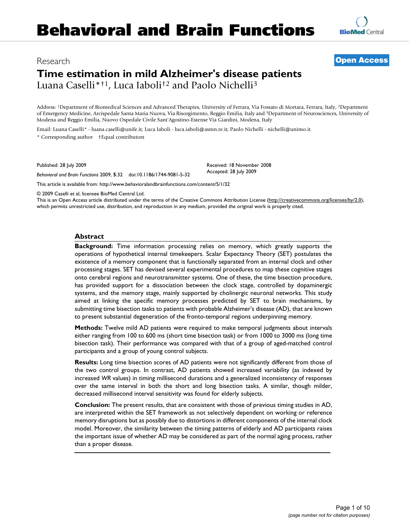

# Research **[Open Access](http://www.biomedcentral.com/info/about/charter/)**

# **Time estimation in mild Alzheimer's disease patients** Luana Caselli\*†1, Luca Iaboli†2 and Paolo Nichelli3

Address: 1Department of Biomedical Sciences and Advanced Therapies, University of Ferrara, Via Fossato di Mortara, Ferrara, Italy, 2Department of Emergency Medicine, Arcispedale Santa Maria Nuova, Via Risorgimento, Reggio Emilia, Italy and 3Department of Neurosciences, University of Modena and Reggio Emilia, Nuovo Ospedale Civile Sant'Agostino-Estense Via Giardini, Modena, Italy

Email: Luana Caselli\* - luana.caselli@unife.it; Luca Iaboli - luca.iaboli@asmn.re.it; Paolo Nichelli - nichelli@unimo.it \* Corresponding author †Equal contributors

Published: 28 July 2009

*Behavioral and Brain Functions* 2009, **5**:32 doi:10.1186/1744-9081-5-32

[This article is available from: http://www.behavioralandbrainfunctions.com/content/5/1/32](http://www.behavioralandbrainfunctions.com/content/5/1/32)

© 2009 Caselli et al; licensee BioMed Central Ltd.

This is an Open Access article distributed under the terms of the Creative Commons Attribution License [\(http://creativecommons.org/licenses/by/2.0\)](http://creativecommons.org/licenses/by/2.0), which permits unrestricted use, distribution, and reproduction in any medium, provided the original work is properly cited.

#### **Abstract**

**Background:** Time information processing relies on memory, which greatly supports the operations of hypothetical internal timekeepers. Scalar Expectancy Theory (SET) postulates the existence of a memory component that is functionally separated from an internal clock and other processing stages. SET has devised several experimental procedures to map these cognitive stages onto cerebral regions and neurotransmitter systems. One of these, the time bisection procedure, has provided support for a dissociation between the clock stage, controlled by dopaminergic systems, and the memory stage, mainly supported by cholinergic neuronal networks. This study aimed at linking the specific memory processes predicted by SET to brain mechanisms, by submitting time bisection tasks to patients with probable Alzheimer's disease (AD), that are known to present substantial degeneration of the fronto-temporal regions underpinning memory.

**Methods:** Twelve mild AD patients were required to make temporal judgments about intervals either ranging from 100 to 600 ms (short time bisection task) or from 1000 to 3000 ms (long time bisection task). Their performance was compared with that of a group of aged-matched control participants and a group of young control subjects.

**Results:** Long time bisection scores of AD patients were not significantly different from those of the two control groups. In contrast, AD patients showed increased variability (as indexed by increased *WR* values) in timing millisecond durations and a generalized inconsistency of responses over the same interval in both the short and long bisection tasks. A similar, though milder, decreased millisecond interval sensitivity was found for elderly subjects.

**Conclusion:** The present results, that are consistent with those of previous timing studies in AD, are interpreted within the SET framework as not selectively dependent on working or reference memory disruptions but as possibly due to distortions in different components of the internal clock model. Moreover, the similarity between the timing patterns of elderly and AD participants raises the important issue of whether AD may be considered as part of the normal aging process, rather than a proper disease.

Received: 18 November 2008 Accepted: 28 July 2009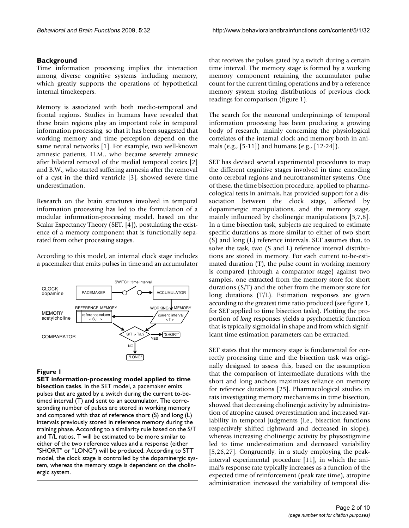# **Background**

Time information processing implies the interaction among diverse cognitive systems including memory, which greatly supports the operations of hypothetical internal timekeepers.

Memory is associated with both medio-temporal and frontal regions. Studies in humans have revealed that these brain regions play an important role in temporal information processing, so that it has been suggested that working memory and time perception depend on the same neural networks [1]. For example, two well-known amnesic patients, H.M., who became severely amnesic after bilateral removal of the medial temporal cortex [2] and B.W., who started suffering amnesia after the removal of a cyst in the third ventricle [3], showed severe time underestimation.

Research on the brain structures involved in temporal information processing has led to the formulation of a modular information-processing model, based on the Scalar Expectancy Theory (SET, [4]), postulating the existence of a memory component that is functionally separated from other processing stages.

According to this model, an internal clock stage includes a pacemaker that emits pulses in time and an accumulator



# **Figure 1**

**SET information-processing model applied to time bisection tasks**. In the SET model, a pacemaker emits pulses that are gated by a switch during the current to-betimed interval (T) and sent to an accumulator. The corresponding number of pulses are stored in working memory and compared with that of reference short (S) and long (L) intervals previously stored in reference memory during the training phase. According to a similarity rule based on the S/T and T/L ratios, T will be estimated to be more similar to either of the two reference values and a response (either "SHORT" or "LONG") will be produced. According to STT model, the clock stage is controlled by the dopaminergic system, whereas the memory stage is dependent on the cholinergic system.

that receives the pulses gated by a switch during a certain time interval. The memory stage is formed by a working memory component retaining the accumulator pulse count for the current timing operations and by a reference memory system storing distributions of previous clock readings for comparison (figure 1).

The search for the neuronal underpinnings of temporal information processing has been producing a growing body of research, mainly concerning the physiological correlates of the internal clock and memory both in animals (e.g., [5-11]) and humans (e.g., [12-24]).

SET has devised several experimental procedures to map the different cognitive stages involved in time encoding onto cerebral regions and neurotransmitter systems. One of these, the time bisection procedure, applied to pharmacological tests in animals, has provided support for a dissociation between the clock stage, affected by dopaminergic manipulations, and the memory stage, mainly influenced by cholinergic manipulations [5,7,8]. In a time bisection task, subjects are required to estimate specific durations as more similar to either of two short (S) and long (L) reference intervals. SET assumes that, to solve the task, two (S and L) reference interval distributions are stored in memory. For each current to-be-estimated duration (T), the pulse count in working memory is compared (through a comparator stage) against two samples, one extracted from the memory store for short durations (S/T) and the other from the memory store for long durations (T/L). Estimation responses are given according to the greatest time ratio produced (see figure 1, for SET applied to time bisection tasks). Plotting the proportion of *long* responses yields a psychometric function that is typically sigmoidal in shape and from which significant time estimation parameters can be extracted.

SET states that the memory stage is fundamental for correctly processing time and the bisection task was originally designed to assess this, based on the assumption that the comparison of intermediate durations with the short and long anchors maximizes reliance on memory for reference durations [25]. Pharmacological studies in rats investigating memory mechanisms in time bisection, showed that decreasing cholinergic activity by administration of atropine caused overestimation and increased variability in temporal judgments (i.e., bisection functions respectively shifted rightward and decreased in slope), whereas increasing cholinergic activity by physostigmine led to time underestimation and decreased variability [5,26,27]. Congruently, in a study employing the peakinterval experimental procedure [11], in which the animal's response rate typically increases as a function of the expected time of reinforcement (peak rate time), atropine administration increased the variability of temporal dis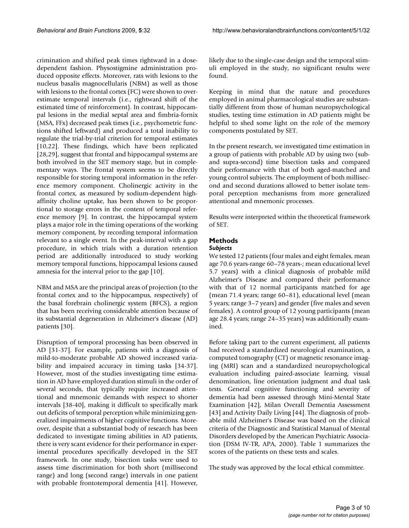crimination and shifted peak times rightward in a dosedependent fashion. Physostigmine administration produced opposite effects. Moreover, rats with lesions to the nucleus basalis magnocellularis (NBM) as well as those with lesions to the frontal cortex (FC) were shown to overestimate temporal intervals (i.e., rightward shift of the estimated time of reinforcement). In contrast, hippocampal lesions in the medial septal area and fimbria-fornix (MSA, FFx) decreased peak times (i.e., psychometric functions shifted leftward) and produced a total inability to regulate the trial-by-trial criterion for temporal estimates [10,22]. These findings, which have been replicated [28,29], suggest that frontal and hippocampal systems are both involved in the SET memory stage, but in complementary ways. The frontal system seems to be directly responsible for storing temporal information in the reference memory component. Cholinergic activity in the frontal cortex, as measured by sodium-dependent highaffinity choline uptake, has been shown to be proportional to storage errors in the content of temporal reference memory [9]. In contrast, the hippocampal system plays a major role in the timing operations of the working memory component, by recording temporal information relevant to a single event. In the peak-interval with a gap procedure, in which trials with a duration retention period are additionally introduced to study working memory temporal functions, hippocampal lesions caused amnesia for the interval prior to the gap [10].

NBM and MSA are the principal areas of projection (to the frontal cortex and to the hippocampus, respectively) of the basal forebrain cholinergic system (BFCS), a region that has been receiving considerable attention because of its substantial degeneration in Alzheimer's disease (AD) patients [30].

Disruption of temporal processing has been observed in AD [31-37]. For example, patients with a diagnosis of mild-to-moderate probable AD showed increased variability and impaired accuracy in timing tasks [34-37]. However, most of the studies investigating time estimation in AD have employed duration stimuli in the order of several seconds, that typically require increased attentional and mnemonic demands with respect to shorter intervals [38-40], making it difficult to specifically mark out deficits of temporal perception while minimizing generalized impairments of higher cognitive functions. Moreover, despite that a substantial body of research has been dedicated to investigate timing abilities in AD patients, there is very scant evidence for their performance in experimental procedures specifically developed in the SET framework. In one study, bisection tasks were used to assess time discrimination for both short (millisecond range) and long (second range) intervals in one patient with probable frontotemporal dementia [41]. However,

likely due to the single-case design and the temporal stimuli employed in the study, no significant results were found.

Keeping in mind that the nature and procedures employed in animal pharmacological studies are substantially different from those of human neuropsychological studies, testing time estimation in AD patients might be helpful to shed some light on the role of the memory components postulated by SET.

In the present research, we investigated time estimation in a group of patients with probable AD by using two (suband supra-second) time bisection tasks and compared their performance with that of both aged-matched and young control subjects. The employment of both millisecond and second durations allowed to better isolate temporal perception mechanisms from more generalized attentional and mnemonic processes.

Results were interpreted within the theoretical framework of SET.

# **Methods**

# *Subjects*

We tested 12 patients (four males and eight females, mean age 70.6 years-range 60–78 years-; mean educational level 5.7 years) with a clinical diagnosis of probable mild Alzheimer's Disease and compared their performance with that of 12 normal participants matched for age (mean 71.4 years; range 60–81), educational level (mean 5 years; range 3–7 years) and gender (five males and seven females). A control group of 12 young participants (mean age 28.4 years; range 24–35 years) was additionally examined.

Before taking part to the current experiment, all patients had received a standardized neurological examination, a computed tomography (CT) or magnetic resonance imaging (MRI) scan and a standardized neuropsychological evaluation including paired-associate learning, visual denomination, line orientation judgment and dual task tests. General cognitive functioning and severity of dementia had been assessed through Mini-Mental State Examination [42], Milan Overall Dementia Assessment [43] and Activity Daily Living [44]. The diagnosis of probable mild Alzheimer's Disease was based on the clinical criteria of the Diagnostic and Statistical Manual of Mental Disorders developed by the American Psychiatric Association (DSM IV-TR, APA, 2000). Table 1 summarizes the scores of the patients on these tests and scales.

The study was approved by the local ethical committee.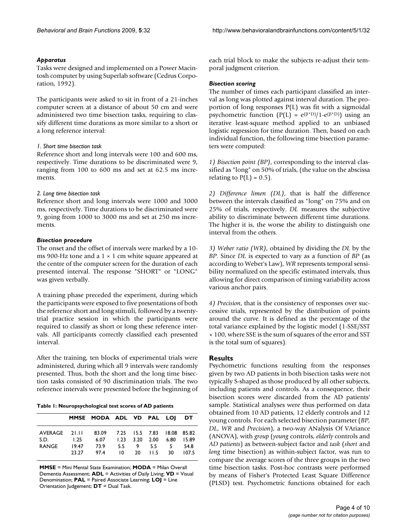#### *Apparatus*

Tasks were designed and implemented on a Power Macintosh computer by using Superlab software (Cedrus Corporation, 1992).

The participants were asked to sit in front of a 21-inches computer screen at a distance of about 50 cm and were administered two time bisection tasks, requiring to classify different time durations as more similar to a short or a long reference interval:

#### *1. Short time bisection task*

Reference short and long intervals were 100 and 600 ms, respectively. Time durations to be discriminated were 9, ranging from 100 to 600 ms and set at 62.5 ms increments.

#### *2. Long time bisection task*

Reference short and long intervals were 1000 and 3000 ms, respectively. Time durations to be discriminated were 9, going from 1000 to 3000 ms and set at 250 ms increments.

#### *Bisection procedure*

The onset and the offset of intervals were marked by a 10 ms 900-Hz tone and a  $1 \times 1$  cm white square appeared at the centre of the computer screen for the duration of each presented interval. The response "SHORT" or "LONG" was given verbally.

A training phase preceded the experiment, during which the participants were exposed to five presentations of both the reference short and long stimuli, followed by a twentytrial practice session in which the participants were required to classify as short or long these reference intervals. All participants correctly classified each presented interval.

After the training, ten blocks of experimental trials were administered, during which all 9 intervals were randomly presented. Thus, both the short and the long time bisection tasks consisted of 90 discrimination trials. The two reference intervals were presented before the beginning of

#### **Table 1: Neuropsychological test scores of AD patients**

|                                                                 |                        | MMSE MODA ADL VD PAL LOI DT |        |           |                                                                   |      |
|-----------------------------------------------------------------|------------------------|-----------------------------|--------|-----------|-------------------------------------------------------------------|------|
| AVERAGE 21.11 83.09 7.25 15.5 7.83 18.08 85.82<br>S.D.<br>RANGE | 1.25<br>19.47<br>23.27 | 6.07<br>73.9<br>97.4        | $10 -$ | 5.5 9 5.5 | $1.23$ 3.20 2.00 6.80 15.89<br>$\overline{5}$<br>20 11.5 30 107.5 | 54.8 |
|                                                                 |                        |                             |        |           |                                                                   |      |

**MMSE** = Mini Mental State Examination; **MODA** = Milan Overall Dementia Assessment; **ADL** = Activities of Daily Living; **VD** = Visual Denomination; **PAL** = Paired Associate Learning; **LOJ** = Line Orientation Judgement; **DT** = Dual Task.

each trial block to make the subjects re-adjust their temporal judgment criterion.

#### *Bisection scoring*

The number of times each participant classified an interval as long was plotted against interval duration. The proportion of long responses P(L) was fit with a sigmoidal psychometric function  $(P(L) = e^{(\beta D)}/1-e^{(\beta D)})$  using an iterative least-square method applied to an unbiased logistic regression for time duration. Then, based on each individual function, the following time bisection parameters were computed:

*1) Bisection point (BP)*, corresponding to the interval classified as "long" on 50% of trials, (the value on the abscissa relating to  $P(L) = 0.5$ ).

*2) Difference limen (DL)*, that is half the difference between the intervals classified as "long" on 75% and on 25% of trials, respectively. *DL* measures the subjective ability to discriminate between different time durations. The higher it is, the worse the ability to distinguish one interval from the others.

*3) Weber ratio (WR)*, obtained by dividing the *DL* by the *BP*. Since *DL* is expected to vary as a function of *BP* (as according to Weber's Law), *WR* represents temporal sensibility normalized on the specific estimated intervals, thus allowing for direct comparison of timing variability across various anchor pairs.

*4) Precision*, that is the consistency of responses over successive trials, represented by the distribution of points around the curve. It is defined as the percentage of the total variance explained by the logistic model (1-SSE/SST × 100, where SSE is the sum of squares of the error and SST is the total sum of squares).

#### **Results**

Psychometric functions resulting from the responses given by two AD patients in both bisection tasks were not typically S-shaped as those produced by all other subjects, including patients and controls. As a consequence, their bisection scores were discarded from the AD patients' sample. Statistical analyses were thus performed on data obtained from 10 AD patients, 12 elderly controls and 12 young controls. For each selected bisection parameter (*BP*, *DL*, *WR* and *Precision*), a two-way ANalysis Of VAriance (ANOVA), with *group* (*young* controls, *elderly* controls and *AD patients*) as between-subject factor and *task* (*short* and *long* time bisection) as within-subject factor, was run to compare the average scores of the three groups in the two time bisection tasks. Post-hoc contrasts were performed by means of Fisher's Protected Least Square Difference (PLSD) test. Psychometric functions obtained for each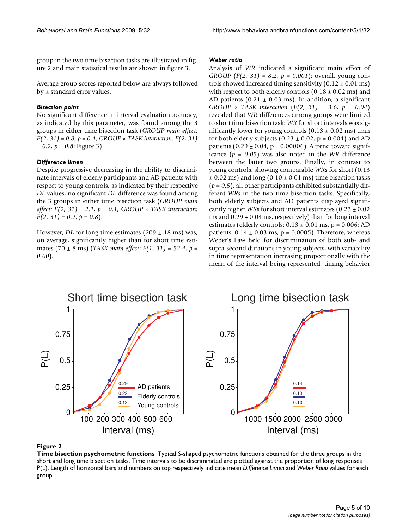group in the two time bisection tasks are illustrated in figure 2 and main statistical results are shown in figure 3.

Average group scores reported below are always followed by  $\pm$  standard error values.

#### *Bisection point*

No significant difference in interval evaluation accuracy, as indicated by this parameter, was found among the 3 groups in either time bisection task (*GROUP main effect: F(2, 31) = 0.8, p = 0.4; GROUP × TASK interaction: F(2, 31) = 0.2, p = 0.8*; Figure 3).

#### *Difference limen*

Despite progressive decreasing in the ability to discriminate intervals of elderly participants and AD patients with respect to young controls, as indicated by their respective *DL* values, no significant *DL* difference was found among the 3 groups in either time bisection task (*GROUP main effect: F(2, 31) = 2.1, p = 0.1; GROUP × TASK interaction: F(2, 31) = 0.2, p = 0.8*).

However, *DL* for long time estimates (209  $\pm$  18 ms) was, on average, significantly higher than for short time estimates (70 ± 8 ms) (*TASK main effect: F(1, 31) = 52.4, p = 0.00*).

#### *Weber ratio*

Analysis of *WR* indicated a significant main effect of *GROUP* (*F(2, 31) = 8.2, p = 0.001*): overall, young controls showed increased timing sensitivity  $(0.12 \pm 0.01 \text{ ms})$ with respect to both elderly controls  $(0.18 \pm 0.02 \text{ ms})$  and AD patients  $(0.21 \pm 0.03 \text{ ms})$ . In addition, a significant *GROUP × TASK interaction* (*F(2, 31) = 3.6, p = 0.04*) revealed that *WR* differences among groups were limited to short time bisection task: *WR* for short intervals was significantly lower for young controls  $(0.13 \pm 0.02 \text{ ms})$  than for both elderly subjects (0.23  $\pm$  0.02, p = 0.004) and AD patients  $(0.29 \pm 0.04, p = 0.00006)$ . A trend toward significance (*p = 0.05*) was also noted in the *WR* difference between the latter two groups. Finally, in contrast to young controls, showing comparable *WR*s for short (0.13  $\pm$  0.02 ms) and long (0.10  $\pm$  0.01 ms) time bisection tasks  $(p = 0.5)$ , all other participants exhibited substantially different *WRs* in the two time bisection tasks. Specifically, both elderly subjects and AD patients displayed significantly higher *WRs* for short interval estimates  $(0.23 \pm 0.02)$ ms and  $0.29 \pm 0.04$  ms, respectively) than for long interval estimates (elderly controls:  $0.13 \pm 0.01$  ms,  $p = 0.006$ ; AD patients:  $0.14 \pm 0.03$  ms,  $p = 0.0005$ ). Therefore, whereas Weber's Law held for discrimination of both sub- and supra-second durations in young subjects, with variability in time representation increasing proportionally with the mean of the interval being represented, timing behavior



#### **Figure 2**

**Time bisection psychometric functions**. Typical S-shaped psychometric functions obtained for the three groups in the short and long time bisection tasks. Time intervals to be discriminated are plotted against the proportion of long responses P(L). Length of horizontal bars and numbers on top respectively indicate mean *Difference Limen* and *Weber Ratio* values for each group.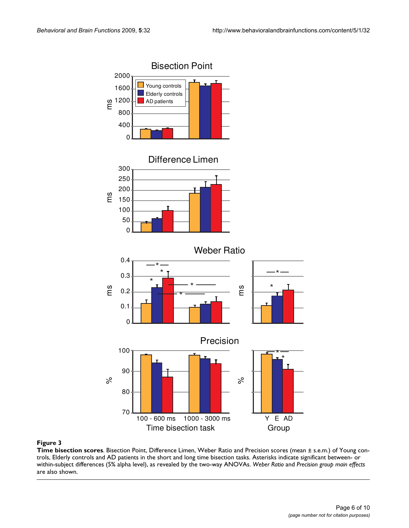

#### **Figure 3**

**Time bisection scores**. Bisection Point, Difference Limen, Weber Ratio and Precision scores (mean ± s.e.m.) of Young controls, Elderly controls and AD patients in the short and long time bisection tasks. Asterisks indicate significant between- or within-subject differences (5% alpha level), as revealed by the two-way ANOVAs. *Weber Ratio* and *Precision group main effects*  are also shown.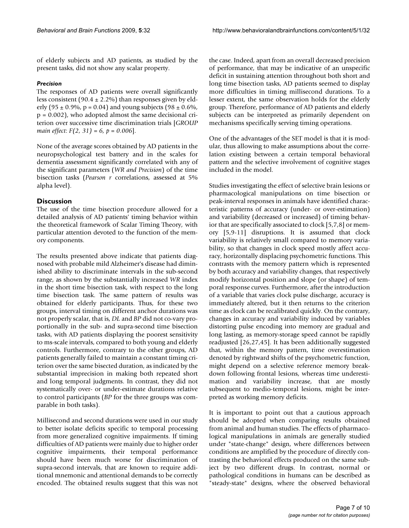of elderly subjects and AD patients, as studied by the present tasks, did not show any scalar property.

### *Precision*

The responses of AD patients were overall significantly less consistent (90.4  $\pm$  2.2%) than responses given by elderly (95  $\pm$  0.9%, p = 0.04) and young subjects (98  $\pm$  0.6%,  $p = 0.002$ , who adopted almost the same decisional criterion over successive time discrimination trials [*GROUP main effect*: *F(2, 31) = 6, p = 0.006*].

None of the average scores obtained by AD patients in the neuropsychological test battery and in the scales for dementia assessment significantly correlated with any of the significant parameters (*WR and Precision*) of the time bisection tasks (*Pearson r* correlations, assessed at 5% alpha level).

# **Discussion**

The use of the time bisection procedure allowed for a detailed analysis of AD patients' timing behavior within the theoretical framework of Scalar Timing Theory, with particular attention devoted to the function of the memory components.

The results presented above indicate that patients diagnosed with probable mild Alzheimer's disease had diminished ability to discriminate intervals in the sub-second range, as shown by the substantially increased *WR* index in the short time bisection task, with respect to the long time bisection task. The same pattern of results was obtained for elderly participants. Thus, for these two groups, interval timing on different anchor durations was not properly scalar, that is, *DL* and *BP* did not co-vary proportionally in the sub- and supra-second time bisection tasks, with AD patients displaying the poorest sensitivity to ms-scale intervals, compared to both young and elderly controls. Furthermore, contrary to the other groups, AD patients generally failed to maintain a constant timing criterion over the same bisected duration, as indicated by the substantial imprecision in making both repeated short and long temporal judgments. In contrast, they did not systematically over- or under-estimate durations relative to control participants (*BP* for the three groups was comparable in both tasks).

Millisecond and second durations were used in our study to better isolate deficits specific to temporal processing from more generalized cognitive impairments. If timing difficulties of AD patients were mainly due to higher order cognitive impairments, their temporal performance should have been much worse for discrimination of supra-second intervals, that are known to require additional mnemonic and attentional demands to be correctly encoded. The obtained results suggest that this was not

the case. Indeed, apart from an overall decreased precision of performance, that may be indicative of an unspecific deficit in sustaining attention throughout both short and long time bisection tasks, AD patients seemed to display more difficulties in timing millisecond durations. To a lesser extent, the same observation holds for the elderly group. Therefore, performance of AD patients and elderly subjects can be interpreted as primarily dependent on mechanisms specifically serving timing operations.

One of the advantages of the SET model is that it is modular, thus allowing to make assumptions about the correlation existing between a certain temporal behavioral pattern and the selective involvement of cognitive stages included in the model.

Studies investigating the effect of selective brain lesions or pharmacological manipulations on time bisection or peak-interval responses in animals have identified characteristic patterns of accuracy (under- or over-estimation) and variability (decreased or increased) of timing behavior that are specifically associated to clock [5,7,8] or memory [5,9-11] disruptions. It is assumed that clock variability is relatively small compared to memory variability, so that changes in clock speed mostly affect accuracy, horizontally displacing psychometric functions. This contrasts with the memory pattern which is represented by both accuracy and variability changes, that respectively modify horizontal position and slope (or shape) of temporal response curves. Furthermore, after the introduction of a variable that varies clock pulse discharge, accuracy is immediately altered, but it then returns to the criterion time as clock can be recalibrated quickly. On the contrary, changes in accuracy and variability induced by variables distorting pulse encoding into memory are gradual and long lasting, as memory-storage speed cannot be rapidly readjusted [26,27,45]. It has been additionally suggested that, within the memory pattern, time overestimation denoted by rightward shifts of the psychometric function, might depend on a selective reference memory breakdown following frontal lesions, whereas time underestimation and variability increase, that are mostly subsequent to medio-temporal lesions, might be interpreted as working memory deficits.

It is important to point out that a cautious approach should be adopted when comparing results obtained from animal and human studies. The effects of pharmacological manipulations in animals are generally studied under "state-change" design, where differences between conditions are amplified by the procedure of directly contrasting the behavioral effects produced on the same subject by two different drugs. In contrast, normal or pathological conditions in humans can be described as "steady-state" designs, where the observed behavioral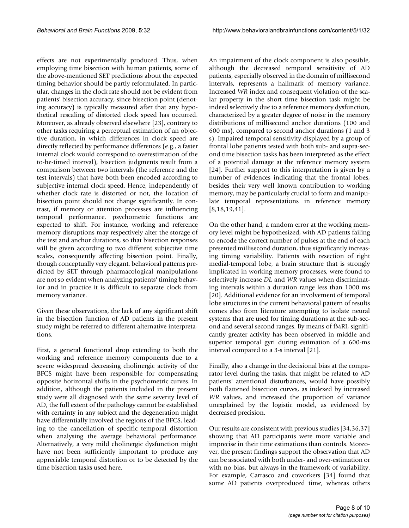effects are not experimentally produced. Thus, when employing time bisection with human patients, some of the above-mentioned SET predictions about the expected timing behavior should be partly reformulated. In particular, changes in the clock rate should not be evident from patients' bisection accuracy, since bisection point (denoting accuracy) is typically measured after that any hypothetical rescaling of distorted clock speed has occurred. Moreover, as already observed elsewhere [23], contrary to other tasks requiring a perceptual estimation of an objective duration, in which differences in clock speed are directly reflected by performance differences (e.g., a faster internal clock would correspond to overestimation of the to-be-timed interval), bisection judgments result from a comparison between two intervals (the reference and the test intervals) that have both been encoded according to subjective internal clock speed. Hence, independently of whether clock rate is distorted or not, the location of bisection point should not change significantly. In contrast, if memory or attention processes are influencing temporal performance, psychometric functions are expected to shift. For instance, working and reference memory disruptions may respectively alter the storage of the test and anchor durations, so that bisection responses will be given according to two different subjective time scales, consequently affecting bisection point. Finally, though conceptually very elegant, behavioral patterns predicted by SET through pharmacological manipulations are not so evident when analyzing patients' timing behavior and in practice it is difficult to separate clock from memory variance.

Given these observations, the lack of any significant shift in the bisection function of AD patients in the present study might be referred to different alternative interpretations.

First, a general functional drop extending to both the working and reference memory components due to a severe widespread decreasing cholinergic activity of the BFCS might have been responsible for compensating opposite horizontal shifts in the psychometric curves. In addition, although the patients included in the present study were all diagnosed with the same severity level of AD, the full extent of the pathology cannot be established with certainty in any subject and the degeneration might have differentially involved the regions of the BFCS, leading to the cancellation of specific temporal distortion when analysing the average behavioral performance. Alternatively, a very mild cholinergic dysfunction might have not been sufficiently important to produce any appreciable temporal distortion or to be detected by the time bisection tasks used here.

An impairment of the clock component is also possible, although the decreased temporal sensitivity of AD patients, especially observed in the domain of millisecond intervals, represents a hallmark of memory variance. Increased *WR* index and consequent violation of the scalar property in the short time bisection task might be indeed selectively due to a reference memory dysfunction, characterized by a greater degree of noise in the memory distributions of millisecond anchor durations (100 and 600 ms), compared to second anchor durations (1 and 3 s). Impaired temporal sensitivity displayed by a group of frontal lobe patients tested with both sub- and supra-second time bisection tasks has been interpreted as the effect of a potential damage at the reference memory system [24]. Further support to this interpretation is given by a number of evidences indicating that the frontal lobes, besides their very well known contribution to working memory, may be particularly crucial to form and manipulate temporal representations in reference memory [8,18,19,41].

On the other hand, a random error at the working memory level might be hypothesized, with AD patients failing to encode the correct number of pulses at the end of each presented millisecond duration, thus significantly increasing timing variability. Patients with resection of right medial-temporal lobe, a brain structure that is strongly implicated in working memory processes, were found to selectively increase *DL* and *WR* values when discriminating intervals within a duration range less than 1000 ms [20]. Additional evidence for an involvement of temporal lobe structures in the current behavioral pattern of results comes also from literature attempting to isolate neural systems that are used for timing durations at the sub-second and several second ranges. By means of fMRI, significantly greater activity has been observed in middle and superior temporal gyri during estimation of a 600-ms interval compared to a 3-s interval [21].

Finally, also a change in the decisional bias at the comparator level during the tasks, that might be related to AD patients' attentional disturbances, would have possibly both flattened bisection curves, as indexed by increased *WR* values, and increased the proportion of variance unexplained by the logistic model, as evidenced by decreased precision.

Our results are consistent with previous studies [34,36,37] showing that AD participants were more variable and imprecise in their time estimations than controls. Moreover, the present findings support the observation that AD can be associated with both under- and over-estimation or with no bias, but always in the framework of variability. For example, Carrasco and coworkers [34] found that some AD patients overproduced time, whereas others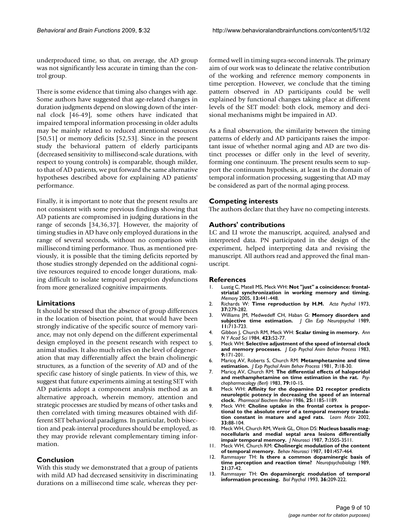underproduced time, so that, on average, the AD group was not significantly less accurate in timing than the control group.

There is some evidence that timing also changes with age. Some authors have suggested that age-related changes in duration judgments depend on slowing down of the internal clock [46-49], some others have indicated that impaired temporal information processing in older adults may be mainly related to reduced attentional resources [50,51] or memory deficits [52,53]. Since in the present study the behavioral pattern of elderly participants (decreased sensitivity to millisecond-scale durations, with respect to young controls) is comparable, though milder, to that of AD patients, we put forward the same alternative hypotheses described above for explaining AD patients' performance.

Finally, it is important to note that the present results are not consistent with some previous findings showing that AD patients are compromised in judging durations in the range of seconds [34,36,37]. However, the majority of timing studies in AD have only employed durations in the range of several seconds, without no comparison with millisecond timing performance. Thus, as mentioned previously, it is possible that the timing deficits reported by those studies strongly depended on the additional cognitive resources required to encode longer durations, making difficult to isolate temporal perception dysfunctions from more generalized cognitive impairments.

## **Limitations**

It should be stressed that the absence of group differences in the location of bisection point, that would have been strongly indicative of the specific source of memory variance, may not only depend on the different experimental design employed in the present research with respect to animal studies. It also much relies on the level of degeneration that may differentially affect the brain cholinergic structures, as a function of the severity of AD and of the specific case history of single patients. In view of this, we suggest that future experiments aiming at testing SET with AD patients adopt a component analysis method as an alternative approach, wherein memory, attention and strategic processes are studied by means of other tasks and then correlated with timing measures obtained with different SET behavioral paradigms. In particular, both bisection and peak-interval procedures should be employed, as they may provide relevant complementary timing information.

## **Conclusion**

With this study we demonstrated that a group of patients with mild AD had decreased sensitivity in discriminating durations on a millisecond time scale, whereas they performed well in timing supra-second intervals. The primary aim of our work was to delineate the relative contribution of the working and reference memory components in time perception. However, we conclude that the timing pattern observed in AD participants could be well explained by functional changes taking place at different levels of the SET model: both clock, memory and decisional mechanisms might be impaired in AD.

As a final observation, the similarity between the timing patterns of elderly and AD participants raises the important issue of whether normal aging and AD are two distinct processes or differ only in the level of severity, forming one continuum. The present results seem to support the continuum hypothesis, at least in the domain of temporal information processing, suggesting that AD may be considered as part of the normal aging process.

# **Competing interests**

The authors declare that they have no competing interests.

## **Authors' contributions**

LC and LI wrote the manuscript, acquired, analysed and interpreted data. PN participated in the design of the experiment, helped interpreting data and revising the manuscript. All authors read and approved the final manuscript.

#### **References**

- 1. Lustig C, Matell MS, Meck WH: **[Not "just" a coincidence: frontal](http://www.ncbi.nlm.nih.gov/entrez/query.fcgi?cmd=Retrieve&db=PubMed&dopt=Abstract&list_uids=15952263)[striatal synchronization in working memory and timing.](http://www.ncbi.nlm.nih.gov/entrez/query.fcgi?cmd=Retrieve&db=PubMed&dopt=Abstract&list_uids=15952263)** *Memory* 2005, **13:**441-448.
- 2. Richards W: **Time reproduction by H.M.** *Acta Psychol* 1973, **37:**279-282.
- 3. Williams JM, Medwedeff CH, Haban G: **[Memory disorders and](http://www.ncbi.nlm.nih.gov/entrez/query.fcgi?cmd=Retrieve&db=PubMed&dopt=Abstract&list_uids=2808660) [subjective time estimation.](http://www.ncbi.nlm.nih.gov/entrez/query.fcgi?cmd=Retrieve&db=PubMed&dopt=Abstract&list_uids=2808660)** *J Clin Exp Neuropsychol* 1989, **11:**713-723.
- 4. Gibbon J, Church RM, Meck WH: **[Scalar timing in memory.](http://www.ncbi.nlm.nih.gov/entrez/query.fcgi?cmd=Retrieve&db=PubMed&dopt=Abstract&list_uids=6588812)** *Ann N Y Acad Sci* 1984, **423:**52-77.
- 5. Meck WH: **[Selective adjustment of the speed of internal clock](http://www.ncbi.nlm.nih.gov/entrez/query.fcgi?cmd=Retrieve&db=PubMed&dopt=Abstract&list_uids=6842136) [and memory processes.](http://www.ncbi.nlm.nih.gov/entrez/query.fcgi?cmd=Retrieve&db=PubMed&dopt=Abstract&list_uids=6842136)** *J Exp Psychol Anim Behav Process* 1983, **9:**171-201.
- 6. Maricq AV, Roberts S, Church RM: **[Metamphetamine and time](http://www.ncbi.nlm.nih.gov/entrez/query.fcgi?cmd=Retrieve&db=PubMed&dopt=Abstract&list_uids=7229573) [estimation.](http://www.ncbi.nlm.nih.gov/entrez/query.fcgi?cmd=Retrieve&db=PubMed&dopt=Abstract&list_uids=7229573)** *J Exp Psychol Anim Behav Process* 1981, **7:**18-30.
- 7. Maricq AV, Church RM: **[The differential effects of haloperidol](http://www.ncbi.nlm.nih.gov/entrez/query.fcgi?cmd=Retrieve&db=PubMed&dopt=Abstract&list_uids=6403957) [and methamphetamine on time estimation in the rat.](http://www.ncbi.nlm.nih.gov/entrez/query.fcgi?cmd=Retrieve&db=PubMed&dopt=Abstract&list_uids=6403957)** *Psychopharmacology (Berl)* 1983, **79:**10-15.
- 8. Meck WH: **[Affinity for the dopamine D2 receptor predicts](http://www.ncbi.nlm.nih.gov/entrez/query.fcgi?cmd=Retrieve&db=PubMed&dopt=Abstract&list_uids=2880350) [neuroleptic potency in decreasing the speed of an internal](http://www.ncbi.nlm.nih.gov/entrez/query.fcgi?cmd=Retrieve&db=PubMed&dopt=Abstract&list_uids=2880350) [clock.](http://www.ncbi.nlm.nih.gov/entrez/query.fcgi?cmd=Retrieve&db=PubMed&dopt=Abstract&list_uids=2880350)** *Pharmacol Biochem Behav* 1986, **25:**1185-1189.
- 9. Meck WH: **Choline uptake in the frontal cortex is proportional to the absolute error of a temporal memory translation constant in mature and aged rats.** *Learn Motiv* 2002, **33:**88-104.
- 10. Meck WH, Church RM, Wenk GL, Olton DS: **[Nucleus basalis mag](http://www.ncbi.nlm.nih.gov/entrez/query.fcgi?cmd=Retrieve&db=PubMed&dopt=Abstract&list_uids=3681402)[nocellularis and medial septal area lesions differentially](http://www.ncbi.nlm.nih.gov/entrez/query.fcgi?cmd=Retrieve&db=PubMed&dopt=Abstract&list_uids=3681402) [impair temporal memory.](http://www.ncbi.nlm.nih.gov/entrez/query.fcgi?cmd=Retrieve&db=PubMed&dopt=Abstract&list_uids=3681402)** *J Neurosci* 1987, **7:**3505-3511.
- 11. Meck WH, Church RM: **[Cholinergic modulation of the content](http://www.ncbi.nlm.nih.gov/entrez/query.fcgi?cmd=Retrieve&db=PubMed&dopt=Abstract&list_uids=2820435) [of temporal memory.](http://www.ncbi.nlm.nih.gov/entrez/query.fcgi?cmd=Retrieve&db=PubMed&dopt=Abstract&list_uids=2820435)** *Behav Neurosci* 1987, **101:**457-464.
- 12. Rammsayer TH: **[Is there a common dopaminergic basis of](http://www.ncbi.nlm.nih.gov/entrez/query.fcgi?cmd=Retrieve&db=PubMed&dopt=Abstract&list_uids=2573003) [time perception and reaction time?](http://www.ncbi.nlm.nih.gov/entrez/query.fcgi?cmd=Retrieve&db=PubMed&dopt=Abstract&list_uids=2573003)** *Neuropsychobiology* 1989, **21:**37-42.
- 13. Rammsayer TH: **[On dopaminergic modulation of temporal](http://www.ncbi.nlm.nih.gov/entrez/query.fcgi?cmd=Retrieve&db=PubMed&dopt=Abstract&list_uids=8260566) [information processing.](http://www.ncbi.nlm.nih.gov/entrez/query.fcgi?cmd=Retrieve&db=PubMed&dopt=Abstract&list_uids=8260566)** *Biol Psychol* 1993, **36:**209-222.